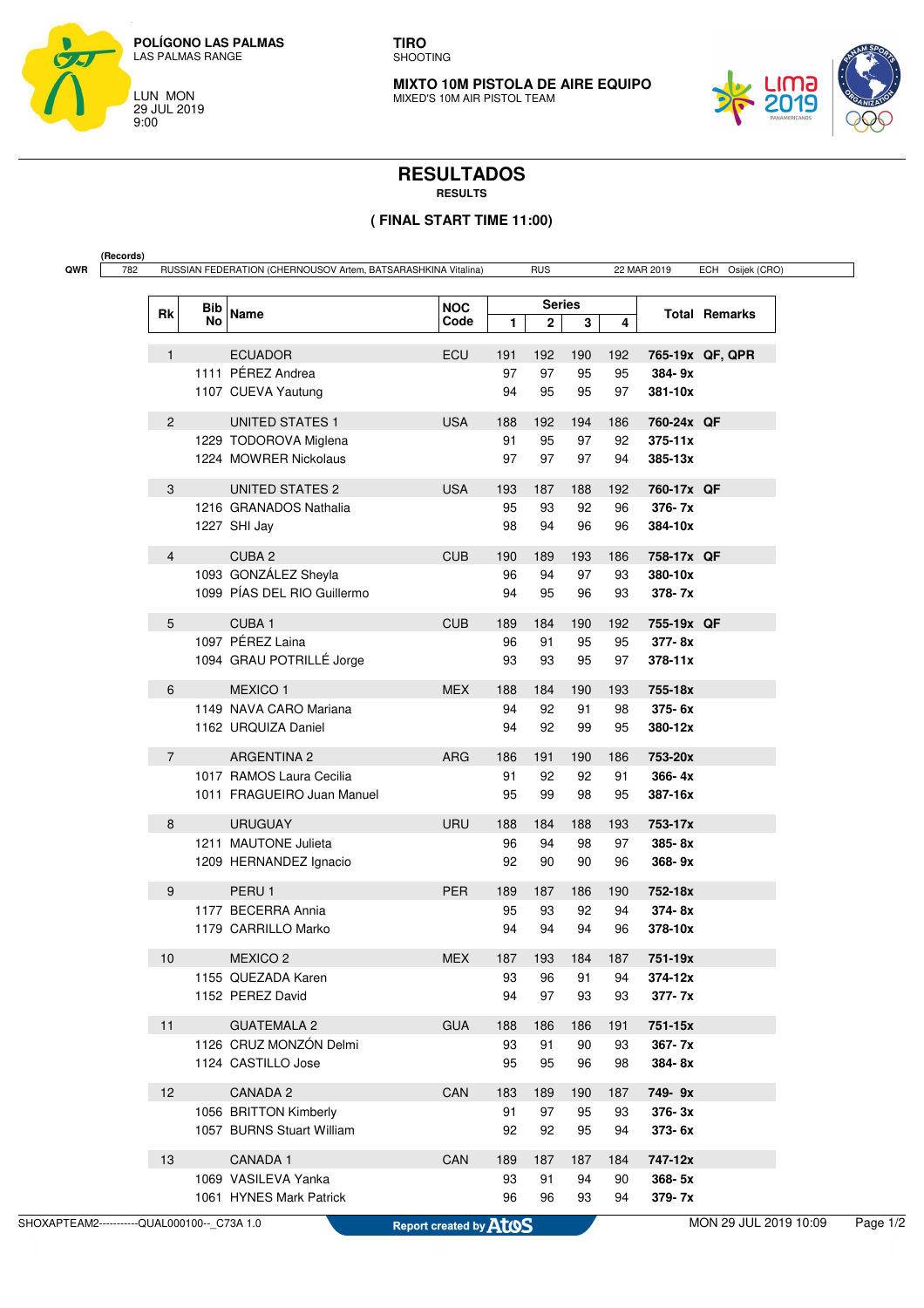

**TIRO** SHOOTING

**MIXTO 10M PISTOLA DE AIRE EQUIPO** MIXED'S 10M AIR PISTOL TEAM



## **RESULTADOS**

**RESULTS**

## **( FINAL START TIME 11:00)**

| QWR | (Records)<br>782 |                | RUSSIAN FEDERATION (CHERNOUSOV Artem, BATSARASHKINA Vitalina)<br><b>RUS</b><br>22 MAR 2019 |                             |                    |     |                               |     |     | ECH Osijek (CRO) |                      |
|-----|------------------|----------------|--------------------------------------------------------------------------------------------|-----------------------------|--------------------|-----|-------------------------------|-----|-----|------------------|----------------------|
|     |                  |                |                                                                                            |                             |                    |     |                               |     |     |                  |                      |
|     |                  | Rk             | Bib<br>No                                                                                  | Name                        | <b>NOC</b><br>Code | 1   | <b>Series</b><br>$\mathbf{2}$ | 3   | 4   |                  | <b>Total Remarks</b> |
|     |                  | $\mathbf{1}$   |                                                                                            | <b>ECUADOR</b>              | <b>ECU</b>         | 191 | 192                           | 190 | 192 |                  | 765-19x QF, QPR      |
|     |                  |                |                                                                                            | 1111 PÉREZ Andrea           |                    | 97  | 97                            | 95  | 95  | 384-9x           |                      |
|     |                  |                |                                                                                            | 1107 CUEVA Yautung          |                    | 94  | 95                            | 95  | 97  | 381-10x          |                      |
|     |                  | $\overline{2}$ |                                                                                            | <b>UNITED STATES 1</b>      | <b>USA</b>         | 188 | 192                           | 194 | 186 | 760-24x QF       |                      |
|     |                  |                |                                                                                            | 1229 TODOROVA Miglena       |                    | 91  | 95                            | 97  | 92  | $375 - 11x$      |                      |
|     |                  |                |                                                                                            | 1224 MOWRER Nickolaus       |                    | 97  | 97                            | 97  | 94  | 385-13x          |                      |
|     |                  | 3              |                                                                                            | <b>UNITED STATES 2</b>      | <b>USA</b>         | 193 | 187                           | 188 | 192 | 760-17x QF       |                      |
|     |                  |                |                                                                                            | 1216 GRANADOS Nathalia      |                    | 95  | 93                            | 92  | 96  | 376-7x           |                      |
|     |                  |                |                                                                                            | 1227 SHI Jay                |                    | 98  | 94                            | 96  | 96  | 384-10x          |                      |
|     |                  | $\overline{4}$ |                                                                                            | CUBA <sub>2</sub>           | <b>CUB</b>         | 190 | 189                           | 193 | 186 | 758-17x QF       |                      |
|     |                  |                |                                                                                            | 1093 GONZÁLEZ Sheyla        |                    | 96  | 94                            | 97  | 93  | 380-10x          |                      |
|     |                  |                |                                                                                            | 1099 PÍAS DEL RIO Guillermo |                    | 94  | 95                            | 96  | 93  | 378-7x           |                      |
|     |                  | 5              |                                                                                            | CUBA <sub>1</sub>           | <b>CUB</b>         | 189 | 184                           | 190 | 192 | 755-19x QF       |                      |
|     |                  |                |                                                                                            | 1097 PÉREZ Laina            |                    | 96  | 91                            | 95  | 95  | 377-8x           |                      |
|     |                  |                |                                                                                            | 1094 GRAU POTRILLÉ Jorge    |                    | 93  | 93                            | 95  | 97  | 378-11x          |                      |
|     |                  | 6              |                                                                                            | <b>MEXICO1</b>              | <b>MEX</b>         | 188 | 184                           | 190 | 193 | 755-18x          |                      |
|     |                  |                |                                                                                            | 1149 NAVA CARO Mariana      |                    | 94  | 92                            | 91  | 98  | 375-6x           |                      |
|     |                  |                |                                                                                            | 1162 URQUIZA Daniel         |                    | 94  | 92                            | 99  | 95  | 380-12x          |                      |
|     |                  | $\overline{7}$ |                                                                                            | <b>ARGENTINA 2</b>          | <b>ARG</b>         | 186 | 191                           | 190 | 186 | 753-20x          |                      |
|     |                  |                |                                                                                            | 1017 RAMOS Laura Cecilia    |                    | 91  | 92                            | 92  | 91  | 366-4x           |                      |
|     |                  |                |                                                                                            | 1011 FRAGUEIRO Juan Manuel  |                    | 95  | 99                            | 98  | 95  | 387-16x          |                      |
|     |                  | 8              |                                                                                            | <b>URUGUAY</b>              | <b>URU</b>         | 188 | 184                           | 188 | 193 | 753-17x          |                      |
|     |                  |                |                                                                                            | 1211 MAUTONE Julieta        |                    | 96  | 94                            | 98  | 97  | 385-8x           |                      |
|     |                  |                |                                                                                            | 1209 HERNANDEZ Ignacio      |                    | 92  | 90                            | 90  | 96  | 368-9x           |                      |
|     |                  | 9              |                                                                                            | PERU <sub>1</sub>           | <b>PER</b>         | 189 | 187                           | 186 | 190 | 752-18x          |                      |
|     |                  |                |                                                                                            | 1177 BECERRA Annia          |                    | 95  | 93                            | 92  | 94  | 374-8x           |                      |
|     |                  |                |                                                                                            | 1179 CARRILLO Marko         |                    | 94  | 94                            | 94  | 96  | 378-10x          |                      |
|     |                  | 10             |                                                                                            | <b>MEXICO 2</b>             | <b>MEX</b>         | 187 | 193                           | 184 | 187 | 751-19x          |                      |
|     |                  |                |                                                                                            | 1155 QUEZADA Karen          |                    | 93  | 96                            | 91  | 94  | 374-12x          |                      |
|     |                  |                |                                                                                            | 1152 PEREZ David            |                    | 94  | 97                            | 93  | 93  | 377-7x           |                      |
|     |                  | 11             |                                                                                            | <b>GUATEMALA 2</b>          | <b>GUA</b>         | 188 | 186                           | 186 | 191 | 751-15x          |                      |
|     |                  |                |                                                                                            | 1126 CRUZ MONZÓN Delmi      |                    | 93  | 91                            | 90  | 93  | 367-7x           |                      |
|     |                  |                |                                                                                            | 1124 CASTILLO Jose          |                    | 95  | 95                            | 96  | 98  | 384-8x           |                      |
|     |                  | 12             |                                                                                            | CANADA 2                    | CAN                | 183 | 189                           | 190 | 187 | 749-9x           |                      |
|     |                  |                |                                                                                            | 1056 BRITTON Kimberly       |                    | 91  | 97                            | 95  | 93  | 376-3x           |                      |
|     |                  |                |                                                                                            | 1057 BURNS Stuart William   |                    | 92  | 92                            | 95  | 94  | 373-6x           |                      |
|     |                  | 13             |                                                                                            | CANADA 1                    | CAN                | 189 | 187                           | 187 | 184 | 747-12x          |                      |
|     |                  |                |                                                                                            | 1069 VASILEVA Yanka         |                    | 93  | 91                            | 94  | 90  | 368-5x           |                      |
|     |                  |                |                                                                                            | 1061 HYNES Mark Patrick     |                    | 96  | 96                            | 93  | 94  | 379-7x           |                      |